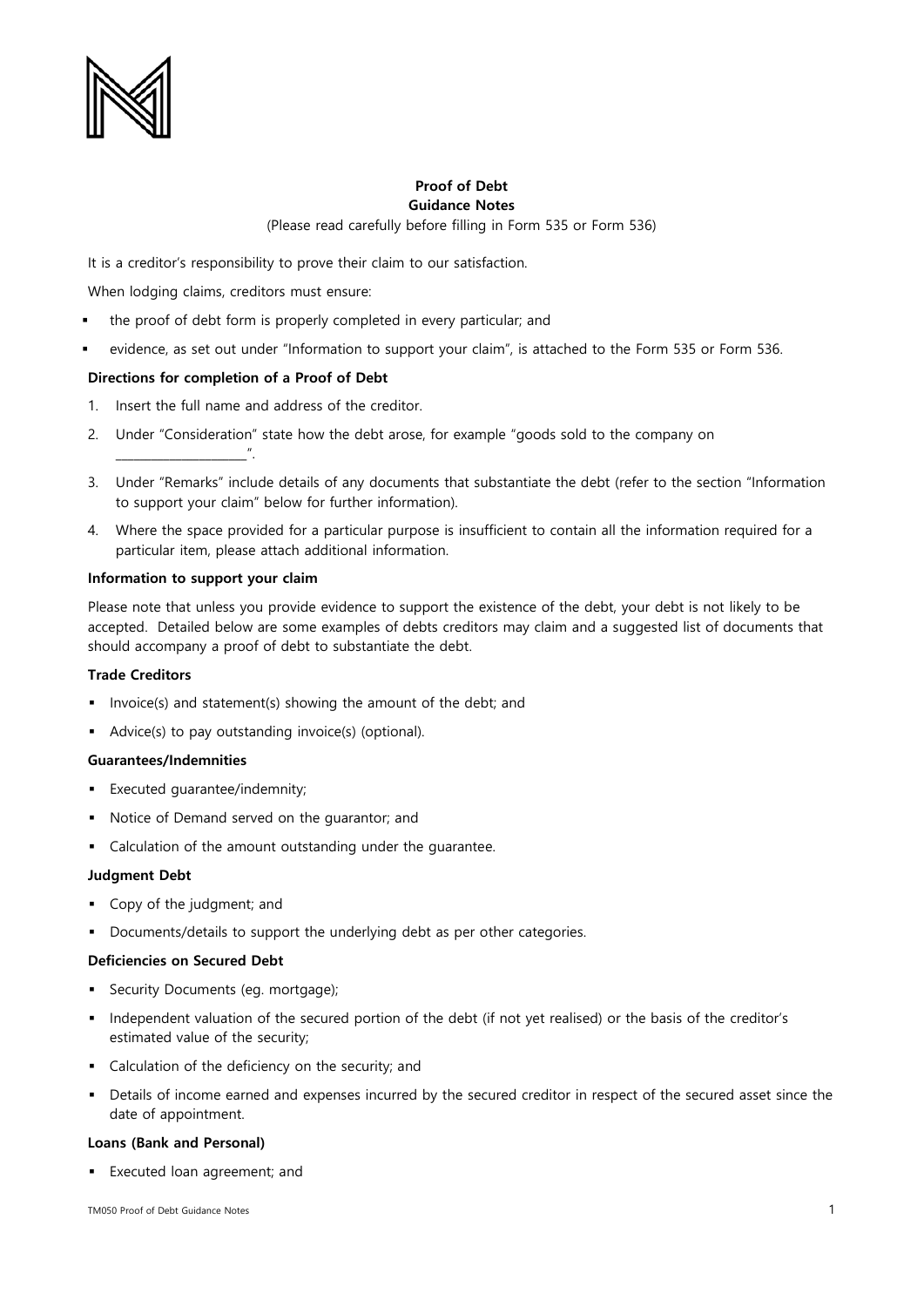

# **Proof of Debt Guidance Notes**

(Please read carefully before filling in Form 535 or Form 536)

It is a creditor's responsibility to prove their claim to our satisfaction.

When lodging claims, creditors must ensure:

- the proof of debt form is properly completed in every particular; and
- evidence, as set out under "Information to support your claim", is attached to the Form 535 or Form 536.

## **Directions for completion of a Proof of Debt**

- 1. Insert the full name and address of the creditor.
- 2. Under "Consideration" state how the debt arose, for example "goods sold to the company on
- 3. Under "Remarks" include details of any documents that substantiate the debt (refer to the section "Information to support your claim" below for further information).
- 4. Where the space provided for a particular purpose is insufficient to contain all the information required for a particular item, please attach additional information.

#### **Information to support your claim**

\_\_\_\_\_\_\_\_\_\_\_\_\_\_\_\_\_\_\_\_\_\_".

Please note that unless you provide evidence to support the existence of the debt, your debt is not likely to be accepted. Detailed below are some examples of debts creditors may claim and a suggested list of documents that should accompany a proof of debt to substantiate the debt.

#### **Trade Creditors**

- **Invoice(s) and statement(s) showing the amount of the debt; and**
- Advice(s) to pay outstanding invoice(s) (optional).

## **Guarantees/Indemnities**

- **Executed quarantee/indemnity;**
- Notice of Demand served on the guarantor; and
- Calculation of the amount outstanding under the guarantee.

#### **Judgment Debt**

- Copy of the judgment; and
- Documents/details to support the underlying debt as per other categories.

#### **Deficiencies on Secured Debt**

- Security Documents (eg. mortgage);
- Independent valuation of the secured portion of the debt (if not yet realised) or the basis of the creditor's estimated value of the security;
- Calculation of the deficiency on the security; and
- Details of income earned and expenses incurred by the secured creditor in respect of the secured asset since the date of appointment.

#### **Loans (Bank and Personal)**

Executed loan agreement; and